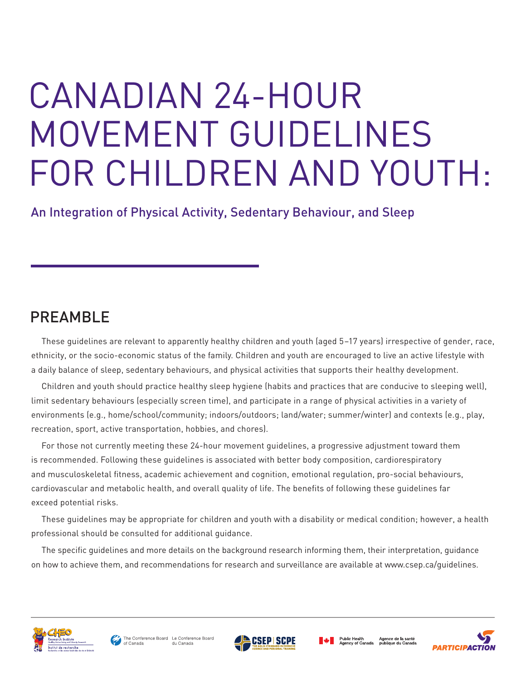# CANADIAN 24-HOUR MOVEMENT GUIDELINES FOR CHILDREN AND YOUTH:

An Integration of Physical Activity, Sedentary Behaviour, and Sleep

## PREAMBLE

These guidelines are relevant to apparently healthy children and youth (aged 5–17 years) irrespective of gender, race, ethnicity, or the socio-economic status of the family. Children and youth are encouraged to live an active lifestyle with a daily balance of sleep, sedentary behaviours, and physical activities that supports their healthy development.

Children and youth should practice healthy sleep hygiene (habits and practices that are conducive to sleeping well), limit sedentary behaviours (especially screen time), and participate in a range of physical activities in a variety of environments (e.g., home/school/community; indoors/outdoors; land/water; summer/winter) and contexts (e.g., play, recreation, sport, active transportation, hobbies, and chores).

For those not currently meeting these 24-hour movement guidelines, a progressive adjustment toward them is recommended. Following these guidelines is associated with better body composition, cardiorespiratory and musculoskeletal fitness, academic achievement and cognition, emotional regulation, pro-social behaviours, cardiovascular and metabolic health, and overall quality of life. The benefits of following these guidelines far exceed potential risks.

These guidelines may be appropriate for children and youth with a disability or medical condition; however, a health professional should be consulted for additional guidance.

The specific guidelines and more details on the background research informing them, their interpretation, guidance on how to achieve them, and recommendations for research and surveillance are available at www.csep.ca/guidelines.